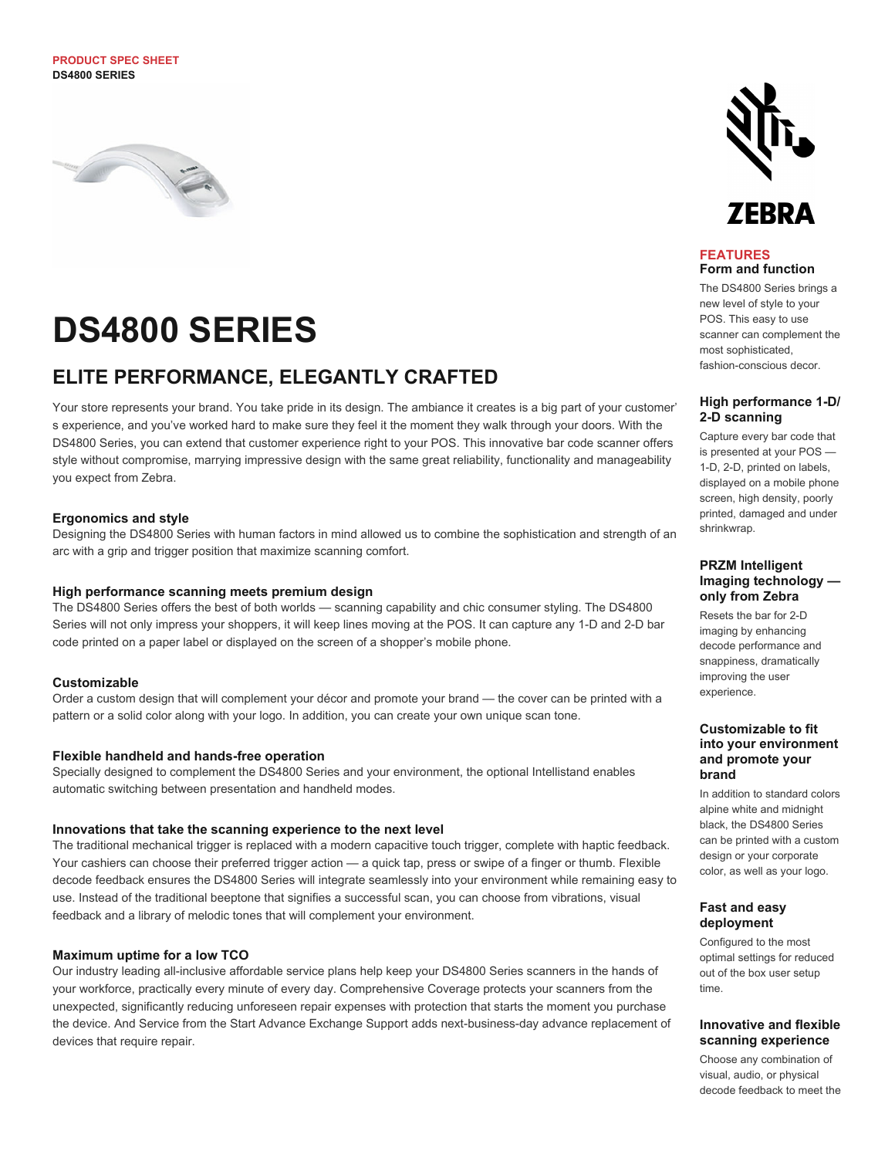#### **PRODUCT SPEC SHEET DS4800 SERIES**



# **DS4800 SERIES**

## **ELITE PERFORMANCE, ELEGANTLY CRAFTED**

Your store represents your brand. You take pride in its design. The ambiance it creates is a big part of your customer' s experience, and you've worked hard to make sure they feel it the moment they walk through your doors. With the DS4800 Series, you can extend that customer experience right to your POS. This innovative bar code scanner offers style without compromise, marrying impressive design with the same great reliability, functionality and manageability you expect from Zebra.

#### **Ergonomics and style**

Designing the DS4800 Series with human factors in mind allowed us to combine the sophistication and strength of an arc with a grip and trigger position that maximize scanning comfort.

#### **High performance scanning meets premium design**

The DS4800 Series offers the best of both worlds — scanning capability and chic consumer styling. The DS4800 Series will not only impress your shoppers, it will keep lines moving at the POS. It can capture any 1-D and 2-D bar code printed on a paper label or displayed on the screen of a shopper's mobile phone.

#### **Customizable**

Order a custom design that will complement your décor and promote your brand — the cover can be printed with a pattern or a solid color along with your logo. In addition, you can create your own unique scan tone.

#### **Flexible handheld and hands-free operation**

Specially designed to complement the DS4800 Series and your environment, the optional Intellistand enables automatic switching between presentation and handheld modes.

#### **Innovations that take the scanning experience to the next level**

The traditional mechanical trigger is replaced with a modern capacitive touch trigger, complete with haptic feedback. Your cashiers can choose their preferred trigger action — a quick tap, press or swipe of a finger or thumb. Flexible decode feedback ensures the DS4800 Series will integrate seamlessly into your environment while remaining easy to use. Instead of the traditional beeptone that signifies a successful scan, you can choose from vibrations, visual feedback and a library of melodic tones that will complement your environment.

#### **Maximum uptime for a low TCO**

Our industry leading all-inclusive affordable service plans help keep your DS4800 Series scanners in the hands of your workforce, practically every minute of every day. Comprehensive Coverage protects your scanners from the unexpected, significantly reducing unforeseen repair expenses with protection that starts the moment you purchase the device. And Service from the Start Advance Exchange Support adds next-business-day advance replacement of devices that require repair.



#### **FEATURES Form and function**

The DS4800 Series brings a new level of style to your POS. This easy to use scanner can complement the most sophisticated, fashion-conscious decor.

#### **High performance 1-D/ 2-D scanning**

Capture every bar code that is presented at your POS — 1-D, 2-D, printed on labels, displayed on a mobile phone screen, high density, poorly printed, damaged and under shrinkwrap.

#### **PRZM Intelligent Imaging technology only from Zebra**

Resets the bar for 2-D imaging by enhancing decode performance and snappiness, dramatically improving the user experience.

#### **Customizable to fit into your environment and promote your brand**

In addition to standard colors alpine white and midnight black, the DS4800 Series can be printed with a custom design or your corporate color, as well as your logo.

#### **Fast and easy deployment**

Configured to the most optimal settings for reduced out of the box user setup time.

#### **Innovative and flexible scanning experience**

Choose any combination of visual, audio, or physical decode feedback to meet the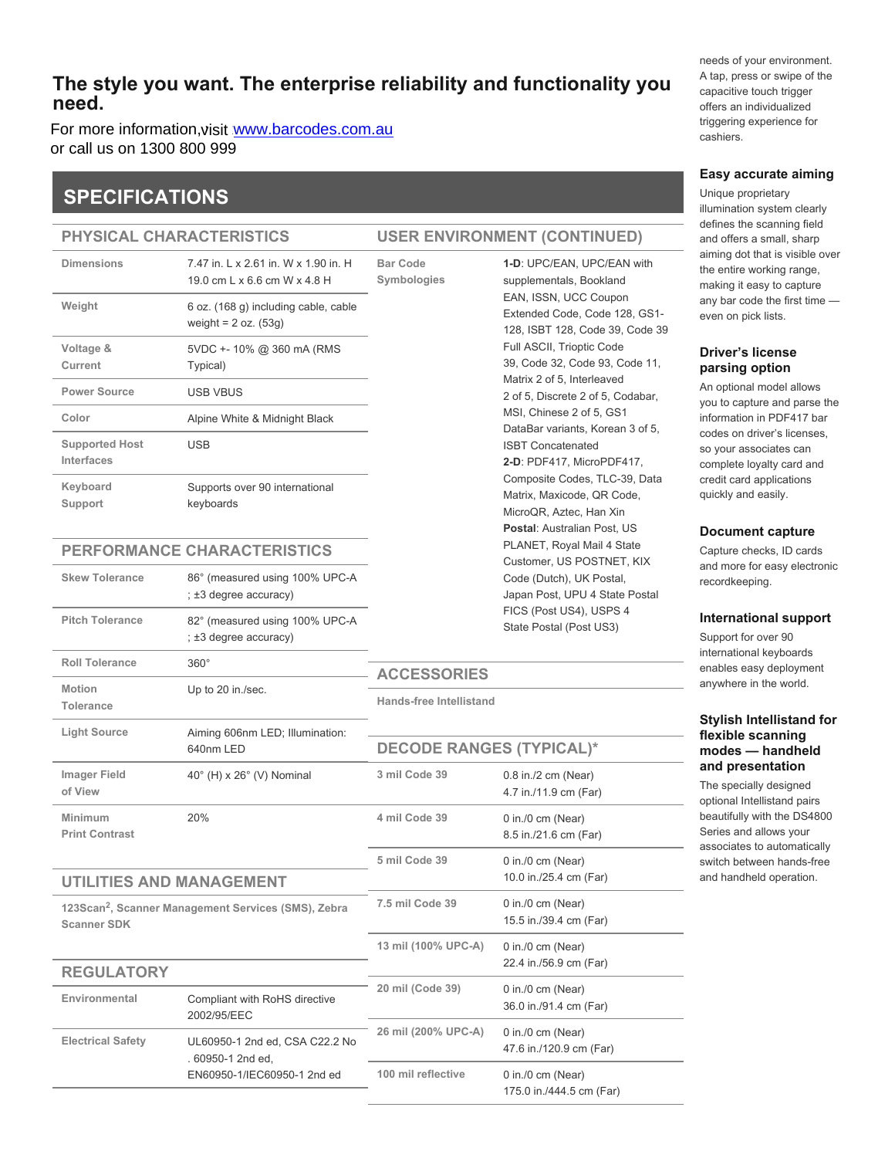## **The style you want. The enterprise reliability and functionality you need.**

For more information,visit <u>[www.barcodes.com.au](http://www.barcodes.com.au/zebra-ds4800-general-purpose-barcode-scanner/)</u><br>er.coll.us.op.1300,800,990 or call us on 1300 800 999

# **SPECIFICATIONS**

#### **PHYSICAL CHARACTERISTICS**

| <b>Dimensions</b>                   | 7.47 in. L x 2.61 in. W x 1.90 in. H<br>19.0 cm L x 6.6 cm W x 4.8 H | <b>Bar Code</b><br>Symbologies<br>EAN, ISSN, UCC C                                                                                      | 1-D: UPC/EAN, UP<br>supplementals, Boo                                                |
|-------------------------------------|----------------------------------------------------------------------|-----------------------------------------------------------------------------------------------------------------------------------------|---------------------------------------------------------------------------------------|
| Weight                              | 6 oz. (168 g) including cable, cable<br>weight = $2 oz. (53g)$       |                                                                                                                                         | Extended Code, Co<br>128, ISBT 128, Cod                                               |
| Voltage &<br>Current                | 5VDC +- 10% @ 360 mA (RMS<br>Typical)                                |                                                                                                                                         | Full ASCII, Trioptic<br>39, Code 32, Code                                             |
| <b>Power Source</b>                 | <b>USB VBUS</b>                                                      |                                                                                                                                         | Matrix 2 of 5, Interle<br>2 of 5, Discrete 2 of                                       |
| Color                               | Alpine White & Midnight Black                                        |                                                                                                                                         | MSI, Chinese 2 of 5<br>DataBar variants, K                                            |
| <b>Supported Host</b><br>Interfaces | <b>USB</b>                                                           | <b>ISBT Concatenated</b><br>2-D: PDF417, Micro<br>Composite Codes,<br>Matrix, Maxicode, C<br>MicroQR, Aztec, Ha<br>Postal: Australian F |                                                                                       |
| Keyboard<br>Support                 | Supports over 90 international<br>keyboards                          |                                                                                                                                         |                                                                                       |
| PERFORMANCE CHARACTERISTICS         |                                                                      |                                                                                                                                         | PLANET, Royal Ma<br>Customer, US POS                                                  |
| <b>Skew Tolerance</b>               | 86° (measured using 100% UPC-A<br>; ±3 degree accuracy)              |                                                                                                                                         | Code (Dutch), UK F<br>Japan Post, UPU 4<br>FICS (Post US4), U<br>State Postal (Post U |
| <b>Pitch Tolerance</b>              | 82° (measured using 100% UPC-A<br>; ±3 degree accuracy)              |                                                                                                                                         |                                                                                       |
| <b>Roll Tolerance</b>               | $360^\circ$                                                          | <b>ACCESSORIES</b>                                                                                                                      |                                                                                       |
| <b>Motion</b><br><b>Tolerance</b>   | Up to 20 in./sec.                                                    | <b>Hands-free Intellistand</b><br><b>DECODE RANGES (TYPICAL)*</b>                                                                       |                                                                                       |
| <b>Light Source</b>                 | Aiming 606nm LED; Illumination:<br>640nm LED                         |                                                                                                                                         |                                                                                       |
| <b>Imager Field</b><br>of View      | 40° (H) x 26° (V) Nominal                                            | 3 mil Code 39                                                                                                                           | 0.8 in./2 cm (Near)<br>4.7 in./11.9 cm (Far                                           |
| Minimum                             | 20%                                                                  | 4 mil Code 39                                                                                                                           | 0 in./0 cm (Near)                                                                     |

## **UTILITIES AND MANAGEMENT**

**Print Contrast**

123Scan<sup>2</sup>, Scanner Management Services (SMS), Zebra **Scanner SDK**

#### **REGULATORY Environmental** Compliant with RoHS directive 2002/95/EEC **Electrical Safety** UL60950-1 2nd ed, CSA C22.2 No . 60950-1 2nd ed, EN60950-1/IEC60950-1 2nd ed 15.5 in./39.4 cm (Far) **13 mil (100% UPC-A)** 0 in./0 cm (Near) 22.4 in./56.9 cm (Far) **20 mil (Code 39)** 0 in./0 cm (Near) 36.0 in./91.4 cm (Far) **26 mil (200% UPC-A)** 0 in./0 cm (Near) 47.6 in./120.9 cm (Far) **100 mil reflective** 0 in./0 cm (Near)

**USER ENVIRONMENT (CONTINUED)**

**1-D**: UPC/EAN, UPC/EAN with supplementals, Bookland EAN, ISSN, UCC Coupon Extended Code, Code 128, GS1- 128, ISBT 128, Code 39, Code 39 Full ASCII, Trioptic Code 39, Code 32, Code 93, Code 11, Matrix 2 of 5, Interleaved 2 of 5, Discrete 2 of 5, Codabar, MSI, Chinese 2 of 5, GS1 DataBar variants, Korean 3 of 5, ISBT Concatenated **2-D**: PDF417, MicroPDF417, Composite Codes, TLC-39, Data Matrix, Maxicode, QR Code, MicroQR, Aztec, Han Xin **Postal**: Australian Post, US PLANET, Royal Mail 4 State Customer, US POSTNET, KIX Code (Dutch), UK Postal, Japan Post, UPU 4 State Postal FICS (Post US4), USPS 4 State Postal (Post US3)

8.5 in./21.6 cm (Far)

10.0 in./25.4 cm (Far)

175.0 in./444.5 cm (Far)

**5 mil Code 39** 0 in./0 cm (Near)

**7.5 mil Code 39** 0 in./0 cm (Near)

needs of your environment. A tap, press or swipe of the capacitive touch trigger offers an individualized triggering experience for cashiers.

#### **Easy accurate aiming**

Unique proprietary illumination system clearly defines the scanning field and offers a small, sharp aiming dot that is visible over the entire working range, making it easy to capture any bar code the first time even on pick lists.

### **Driver's license parsing option**

An optional model allows you to capture and parse the information in PDF417 bar codes on driver's licenses, so your associates can complete loyalty card and credit card applications quickly and easily.

#### **Document capture**

Capture checks, ID cards and more for easy electronic recordkeeping.

#### **International support**

Support for over 90 international keyboards enables easy deployment anywhere in the world.

#### **Stylish Intellistand for flexible scanning modes — handheld and presentation**

The specially designed optional Intellistand pairs beautifully with the DS4800 Series and allows your associates to automatically switch between hands-free and handheld operation.